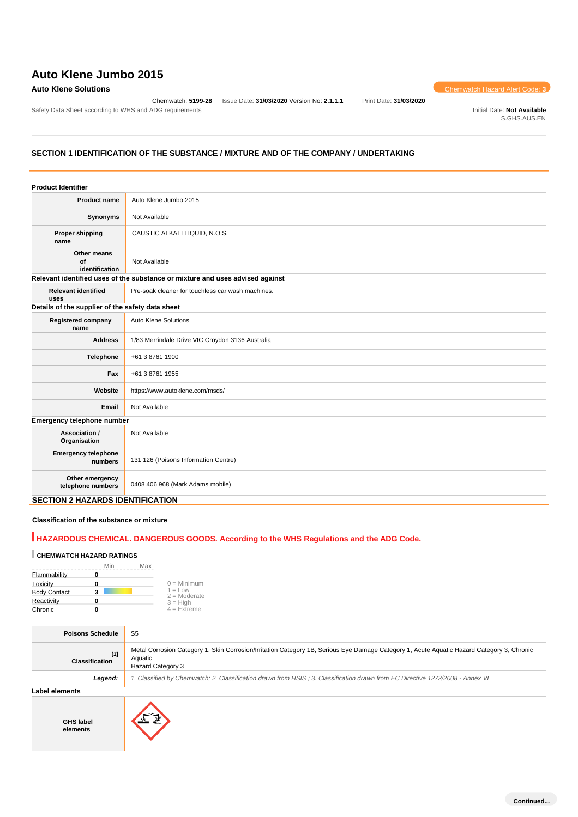# **Auto Klene Jumbo 2015**

#### **Auto Klene Solutions** Chemwatch Hazard Alert Code: **3**

Chemwatch: **5199-28** Issue Date: **31/03/2020** Version No: **2.1.1.1** Print Date: **31/03/2020**

Safety Data Sheet according to WHS and ADG requirements **Initial Date: Not Available** Initial Date: Not Available

S.GHS.AUS.EN

## **SECTION 1 IDENTIFICATION OF THE SUBSTANCE / MIXTURE AND OF THE COMPANY / UNDERTAKING**

| <b>Product Identifier</b>                        |                                                                               |
|--------------------------------------------------|-------------------------------------------------------------------------------|
| Product name                                     | Auto Klene Jumbo 2015                                                         |
| Synonyms                                         | Not Available                                                                 |
| <b>Proper shipping</b><br>name                   | CAUSTIC ALKALI LIQUID, N.O.S.                                                 |
| Other means<br>of<br>identification              | Not Available                                                                 |
|                                                  | Relevant identified uses of the substance or mixture and uses advised against |
| <b>Relevant identified</b><br>uses               | Pre-soak cleaner for touchless car wash machines.                             |
| Details of the supplier of the safety data sheet |                                                                               |
| <b>Registered company</b><br>name                | Auto Klene Solutions                                                          |
| <b>Address</b>                                   | 1/83 Merrindale Drive VIC Croydon 3136 Australia                              |
| Telephone                                        | +61 3 8761 1900                                                               |
| Fax                                              | +61 3 8761 1955                                                               |
| Website                                          | https://www.autoklene.com/msds/                                               |
| Email                                            | Not Available                                                                 |
| Emergency telephone number                       |                                                                               |
| Association /<br>Organisation                    | Not Available                                                                 |
| <b>Emergency telephone</b><br>numbers            | 131 126 (Poisons Information Centre)                                          |
| Other emergency<br>telephone numbers             | 0408 406 968 (Mark Adams mobile)                                              |
| <b>SECTION 2 HAZARDS IDENTIFICATION</b>          |                                                                               |

#### **Classification of the substance or mixture**

# **HAZARDOUS CHEMICAL. DANGEROUS GOODS. According to the WHS Regulations and the ADG Code.**

## **CHEMWATCH HAZARD RATINGS**

|                     | Min | Max |                             |
|---------------------|-----|-----|-----------------------------|
| Flammability        |     |     |                             |
| Toxicity            | 0   |     | $0 =$ Minimum               |
| <b>Body Contact</b> | 3   |     | $1 = Low$<br>$2 =$ Moderate |
| Reactivity          |     |     | $3 = H$ iah                 |
| Chronic             |     |     | $4 =$ Extreme               |
|                     |     |     |                             |

| <b>Poisons Schedule</b>        | S <sub>5</sub>                                                                                                                                                                    |
|--------------------------------|-----------------------------------------------------------------------------------------------------------------------------------------------------------------------------------|
| $[1]$<br><b>Classification</b> | Metal Corrosion Category 1, Skin Corrosion/Irritation Category 1B, Serious Eye Damage Category 1, Acute Aquatic Hazard Category 3, Chronic<br>Aquatic<br><b>Hazard Category 3</b> |
| Legend:                        | 1. Classified by Chemwatch; 2. Classification drawn from HSIS; 3. Classification drawn from EC Directive 1272/2008 - Annex VI                                                     |
| Label elements                 |                                                                                                                                                                                   |
| <b>GHS label</b><br>elements   |                                                                                                                                                                                   |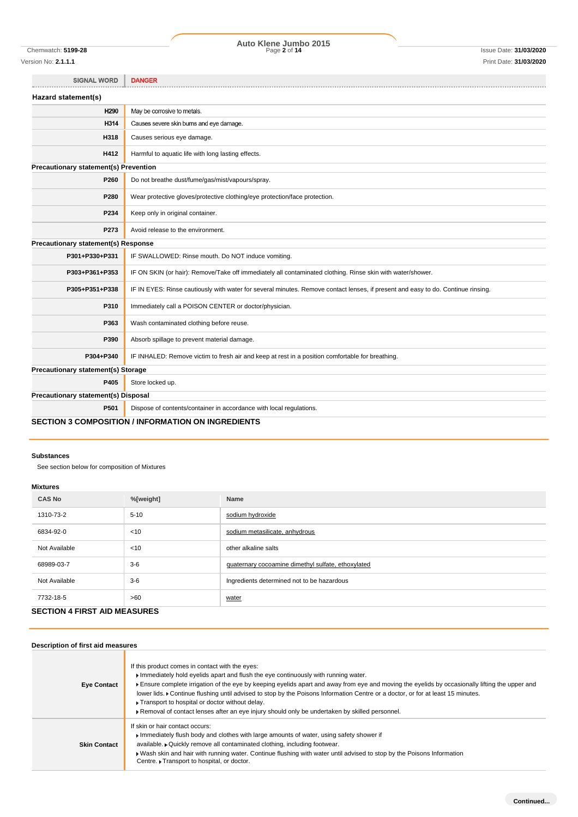# Chemwatch: **5199-28** Page **2** of **14** Issue Date: **31/03/2020 Auto Klene Jumbo 2015**

| <b>SIGNAL WORD</b>                    | <b>DANGER</b>                                                                                                                    |
|---------------------------------------|----------------------------------------------------------------------------------------------------------------------------------|
| Hazard statement(s)                   |                                                                                                                                  |
| H <sub>290</sub>                      | May be corrosive to metals.                                                                                                      |
| H314                                  | Causes severe skin burns and eye damage.                                                                                         |
| H318                                  | Causes serious eye damage.                                                                                                       |
| H412                                  | Harmful to aquatic life with long lasting effects.                                                                               |
| Precautionary statement(s) Prevention |                                                                                                                                  |
| P260                                  | Do not breathe dust/fume/gas/mist/vapours/spray.                                                                                 |
| P280                                  | Wear protective gloves/protective clothing/eye protection/face protection.                                                       |
| P234                                  | Keep only in original container.                                                                                                 |
| P273                                  | Avoid release to the environment.                                                                                                |
| Precautionary statement(s) Response   |                                                                                                                                  |
| P301+P330+P331                        | IF SWALLOWED: Rinse mouth. Do NOT induce vomiting.                                                                               |
| P303+P361+P353                        | IF ON SKIN (or hair): Remove/Take off immediately all contaminated clothing. Rinse skin with water/shower.                       |
| P305+P351+P338                        | IF IN EYES: Rinse cautiously with water for several minutes. Remove contact lenses, if present and easy to do. Continue rinsing. |
| P310                                  | Immediately call a POISON CENTER or doctor/physician.                                                                            |
| P363                                  | Wash contaminated clothing before reuse.                                                                                         |
| P390                                  | Absorb spillage to prevent material damage.                                                                                      |
| P304+P340                             | IF INHALED: Remove victim to fresh air and keep at rest in a position comfortable for breathing.                                 |
| Precautionary statement(s) Storage    |                                                                                                                                  |
| P405                                  | Store locked up.                                                                                                                 |
| Precautionary statement(s) Disposal   |                                                                                                                                  |
| P501                                  | Dispose of contents/container in accordance with local regulations.                                                              |

### **SECTION 3 COMPOSITION / INFORMATION ON INGREDIENTS**

#### **Substances**

See section below for composition of Mixtures

#### **Mixtures**

| <b>CAS No</b> | %[weight] | Name                                               |
|---------------|-----------|----------------------------------------------------|
| 1310-73-2     | $5 - 10$  | sodium hydroxide                                   |
| 6834-92-0     | $<$ 10    | sodium metasilicate, anhydrous                     |
| Not Available | $<$ 10    | other alkaline salts                               |
| 68989-03-7    | $3-6$     | quaternary cocoamine dimethyl sulfate, ethoxylated |
| Not Available | $3-6$     | Ingredients determined not to be hazardous         |
| 7732-18-5     | >60       | water                                              |

## **SECTION 4 FIRST AID MEASURES**

| Description of first aid measures |                                                                                                                                                                                                                                                                                                                                                                                                                                                                                                                                                                                |
|-----------------------------------|--------------------------------------------------------------------------------------------------------------------------------------------------------------------------------------------------------------------------------------------------------------------------------------------------------------------------------------------------------------------------------------------------------------------------------------------------------------------------------------------------------------------------------------------------------------------------------|
| <b>Eye Contact</b>                | If this product comes in contact with the eyes:<br>Immediately hold eyelids apart and flush the eye continuously with running water.<br>Ensure complete irrigation of the eye by keeping eyelids apart and away from eye and moving the eyelids by occasionally lifting the upper and<br>lower lids. Continue flushing until advised to stop by the Poisons Information Centre or a doctor, or for at least 15 minutes.<br>▶ Transport to hospital or doctor without delay.<br>► Removal of contact lenses after an eye injury should only be undertaken by skilled personnel. |
| <b>Skin Contact</b>               | If skin or hair contact occurs:<br>Immediately flush body and clothes with large amounts of water, using safety shower if<br>available. • Quickly remove all contaminated clothing, including footwear.<br>► Wash skin and hair with running water. Continue flushing with water until advised to stop by the Poisons Information<br>Centre. Transport to hospital, or doctor.                                                                                                                                                                                                 |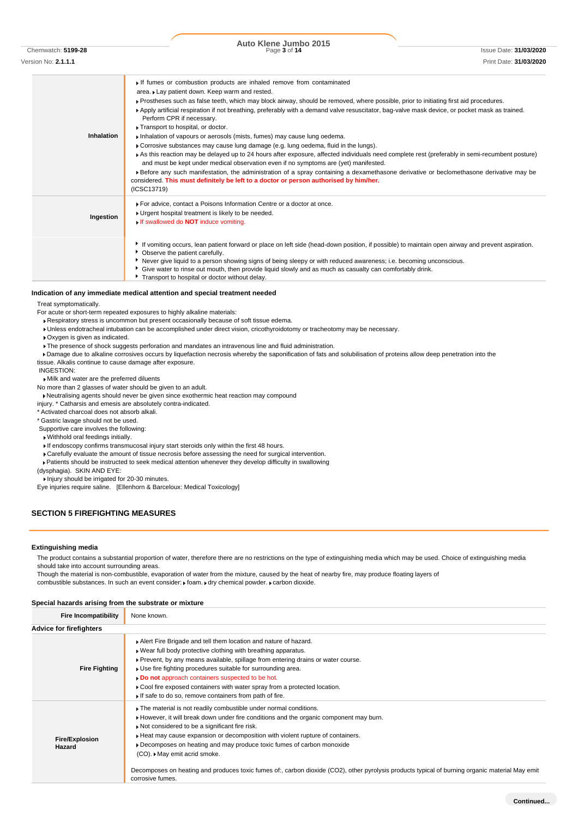Chemwatch: **5199-28** Page **3** of **14** Issue Date: **31/03/2020 Auto Klene Jumbo 2015**

Version No: **2.1.1.1** Print Date: **31/03/2020**

**Inhalation** If fumes or combustion products are inhaled remove from contaminated area. Lay patient down. Keep warm and rested. Prostheses such as false teeth, which may block airway, should be removed, where possible, prior to initiating first aid procedures. Apply artificial respiration if not breathing, preferably with a demand valve resuscitator, bag-valve mask device, or pocket mask as trained. Perform CPR if necessary. Transport to hospital, or doctor. Inhalation of vapours or aerosols (mists, fumes) may cause lung oedema. Corrosive substances may cause lung damage (e.g. lung oedema, fluid in the lungs). As this reaction may be delayed up to 24 hours after exposure, affected individuals need complete rest (preferably in semi-recumbent posture) and must be kept under medical observation even if no symptoms are (yet) manifested. Before any such manifestation, the administration of a spray containing a dexamethasone derivative or beclomethasone derivative may be considered. **This must definitely be left to a doctor or person authorised by him/her.** (ICSC13719) **Ingestion** For advice, contact a Poisons Information Centre or a doctor at once. ► Urgent hospital treatment is likely to be needed. If swallowed do **NOT** induce vomiting. If vomiting occurs, lean patient forward or place on left side (head-down position, if possible) to maintain open airway and prevent aspiration. Observe the patient carefully. Never give liquid to a person showing signs of being sleepy or with reduced awareness; i.e. becoming unconscious. Give water to rinse out mouth, then provide liquid slowly and as much as casualty can comfortably drink. **Transport to hospital or doctor without delay.** 

#### **Indication of any immediate medical attention and special treatment needed**

Treat symptomatically.

- For acute or short-term repeated exposures to highly alkaline materials:
	- Respiratory stress is uncommon but present occasionally because of soft tissue edema.
	- Unless endotracheal intubation can be accomplished under direct vision, cricothyroidotomy or tracheotomy may be necessary.
	- Oxygen is given as indicated.
	- $\blacktriangleright$  The presence of shock suggests perforation and mandates an intravenous line and fluid administration.
- Damage due to alkaline corrosives occurs by liquefaction necrosis whereby the saponification of fats and solubilisation of proteins allow deep penetration into the tissue. Alkalis continue to cause damage after exposure.
- INGESTION:
- Milk and water are the preferred diluents
- No more than 2 glasses of water should be given to an adult.
- Neutralising agents should never be given since exothermic heat reaction may compound
- injury. \* Catharsis and emesis are absolutely contra-indicated.
- \* Activated charcoal does not absorb alkali.
- \* Gastric lavage should not be used.
- Supportive care involves the following:
- Withhold oral feedings initially.
- If endoscopy confirms transmucosal injury start steroids only within the first 48 hours.
- Carefully evaluate the amount of tissue necrosis before assessing the need for surgical intervention.
- Patients should be instructed to seek medical attention whenever they develop difficulty in swallowing
- (dysphagia). SKIN AND EYE:
- **Injury should be irrigated for 20-30 minutes.**
- Eye injuries require saline. [Ellenhorn & Barceloux: Medical Toxicology]

#### **SECTION 5 FIREFIGHTING MEASURES**

#### **Extinguishing media**

The product contains a substantial proportion of water, therefore there are no restrictions on the type of extinguishing media which may be used. Choice of extinguishing media should take into account surrounding areas.

Though the material is non-combustible, evaporation of water from the mixture, caused by the heat of nearby fire, may produce floating layers of combustible substances. In such an event consider:  $\mathbf{r}$  foam.  $\mathbf{r}$  dry chemical powder.  $\mathbf{r}$  carbon dioxide.

#### **Special hazards arising from the substrate or mixture**

| <b>Fire Incompatibility</b>     | None known.                                                                                                                                                                                                                                                                                                                                                                                                                                                                                                                                                                 |
|---------------------------------|-----------------------------------------------------------------------------------------------------------------------------------------------------------------------------------------------------------------------------------------------------------------------------------------------------------------------------------------------------------------------------------------------------------------------------------------------------------------------------------------------------------------------------------------------------------------------------|
| <b>Advice for firefighters</b>  |                                                                                                                                                                                                                                                                                                                                                                                                                                                                                                                                                                             |
| <b>Fire Fighting</b>            | Alert Fire Brigade and tell them location and nature of hazard.<br>. Wear full body protective clothing with breathing apparatus.<br>► Prevent, by any means available, spillage from entering drains or water course.<br>• Use fire fighting procedures suitable for surrounding area.<br>Do not approach containers suspected to be hot.<br>Cool fire exposed containers with water spray from a protected location.<br>If safe to do so, remove containers from path of fire.                                                                                            |
| <b>Fire/Explosion</b><br>Hazard | The material is not readily combustible under normal conditions.<br>However, it will break down under fire conditions and the organic component may burn.<br>Not considered to be a significant fire risk.<br>Heat may cause expansion or decomposition with violent rupture of containers.<br>Decomposes on heating and may produce toxic fumes of carbon monoxide<br>(CO). ▶ May emit acrid smoke.<br>Decomposes on heating and produces toxic fumes of:, carbon dioxide (CO2), other pyrolysis products typical of burning organic material May emit<br>corrosive fumes. |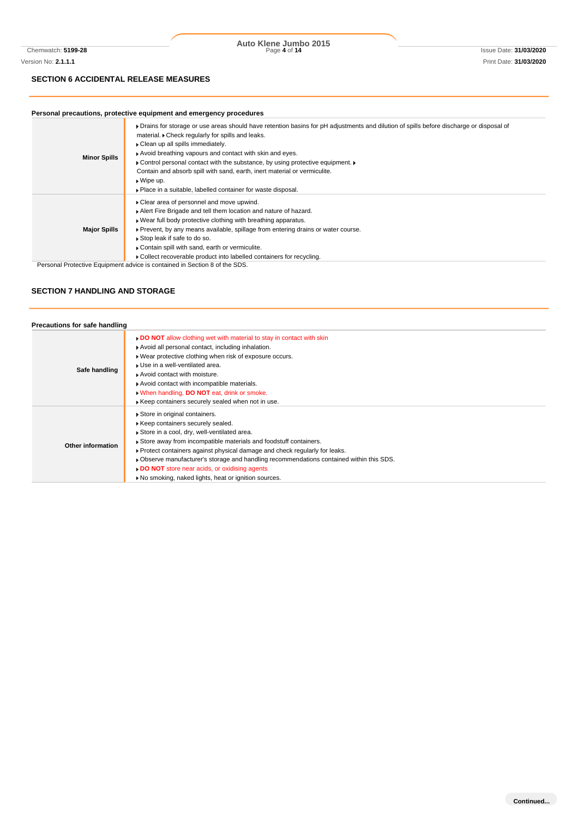#### **SECTION 6 ACCIDENTAL RELEASE MEASURES**

#### **Personal precautions, protective equipment and emergency procedures**

| <b>Minor Spills</b> | • Drains for storage or use areas should have retention basins for pH adjustments and dilution of spills before discharge or disposal of<br>material. Check regularly for spills and leaks.<br>Clean up all spills immediately.<br>Avoid breathing vapours and contact with skin and eyes.<br>• Control personal contact with the substance, by using protective equipment. •<br>Contain and absorb spill with sand, earth, inert material or vermiculite.<br>$\bullet$ Wipe up.<br>• Place in a suitable, labelled container for waste disposal. |
|---------------------|---------------------------------------------------------------------------------------------------------------------------------------------------------------------------------------------------------------------------------------------------------------------------------------------------------------------------------------------------------------------------------------------------------------------------------------------------------------------------------------------------------------------------------------------------|
| <b>Major Spills</b> | ▶ Clear area of personnel and move upwind.<br>Alert Fire Brigade and tell them location and nature of hazard.<br>▶ Wear full body protective clothing with breathing apparatus.<br>► Prevent, by any means available, spillage from entering drains or water course.<br>▶ Stop leak if safe to do so.<br>▶ Contain spill with sand, earth or vermiculite.<br>▶ Collect recoverable product into labelled containers for recycling.<br>Business Business of the second state of the state of the state of ABO.                                     |

Personal Protective Equipment advice is contained in Section 8 of the SDS.

#### **SECTION 7 HANDLING AND STORAGE**

| Precautions for safe handling |                                                                                                                                                                                                                                                                                                                                                                                                                                                                        |
|-------------------------------|------------------------------------------------------------------------------------------------------------------------------------------------------------------------------------------------------------------------------------------------------------------------------------------------------------------------------------------------------------------------------------------------------------------------------------------------------------------------|
| Safe handling                 | . DO NOT allow clothing wet with material to stay in contact with skin<br>Avoid all personal contact, including inhalation.<br>▶ Wear protective clothing when risk of exposure occurs.<br>▶ Use in a well-ventilated area.<br>Avoid contact with moisture.<br>Avoid contact with incompatible materials.<br>• When handling, DO NOT eat, drink or smoke.<br>Keep containers securely sealed when not in use.                                                          |
| Other information             | Store in original containers.<br>Keep containers securely sealed.<br>Store in a cool, dry, well-ventilated area.<br>Store away from incompatible materials and foodstuff containers.<br>▶ Protect containers against physical damage and check regularly for leaks.<br>▶ Observe manufacturer's storage and handling recommendations contained within this SDS.<br>DO NOT store near acids, or oxidising agents<br>No smoking, naked lights, heat or ignition sources. |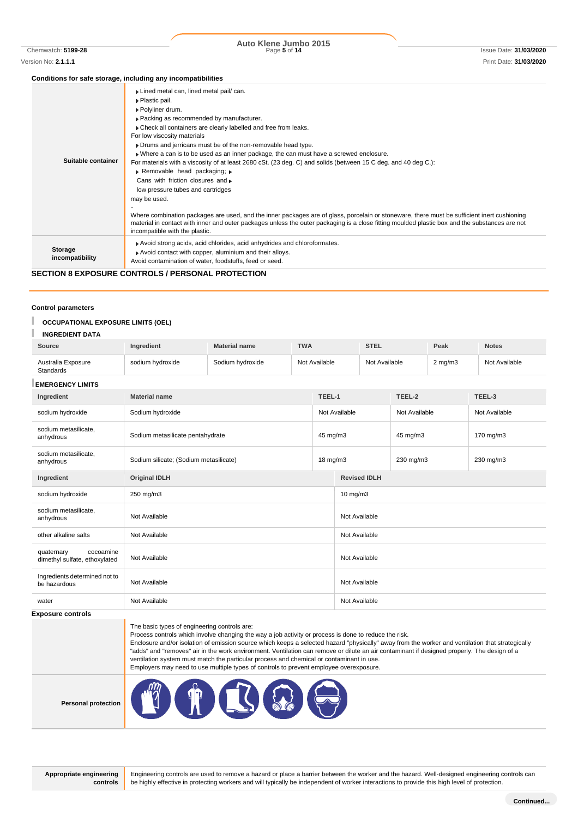Chemwatch: **5199-28** Page **5** of **14** Issue Date: **31/03/2020 Auto Klene Jumbo 2015**

#### **Conditions for safe storage, including any incompatibilities**

|                            | oonannons for safe storage, moraamg any moompanomics                                                                                                                                                                                                                                                                                                                                                                                                                                                                                                                                                                                                                                                                                                                                                                                                                                                                                                                  |
|----------------------------|-----------------------------------------------------------------------------------------------------------------------------------------------------------------------------------------------------------------------------------------------------------------------------------------------------------------------------------------------------------------------------------------------------------------------------------------------------------------------------------------------------------------------------------------------------------------------------------------------------------------------------------------------------------------------------------------------------------------------------------------------------------------------------------------------------------------------------------------------------------------------------------------------------------------------------------------------------------------------|
| Suitable container         | Lined metal can, lined metal pail/ can.<br>▶ Plastic pail.<br>▶ Polyliner drum.<br>▶ Packing as recommended by manufacturer.<br>• Check all containers are clearly labelled and free from leaks.<br>For low viscosity materials<br>Drums and jerricans must be of the non-removable head type.<br>• Where a can is to be used as an inner package, the can must have a screwed enclosure.<br>For materials with a viscosity of at least 2680 cSt. (23 deg. C) and solids (between 15 C deg. and 40 deg C.):<br>Removable head packaging; r<br>Cans with friction closures and<br>low pressure tubes and cartridges<br>may be used.<br>Where combination packages are used, and the inner packages are of glass, porcelain or stoneware, there must be sufficient inert cushioning<br>material in contact with inner and outer packages unless the outer packaging is a close fitting moulded plastic box and the substances are not<br>incompatible with the plastic. |
| Storage<br>incompatibility | Avoid strong acids, acid chlorides, acid anhydrides and chloroformates.<br>Avoid contact with copper, aluminium and their alloys.<br>Avoid contamination of water, foodstuffs, feed or seed.                                                                                                                                                                                                                                                                                                                                                                                                                                                                                                                                                                                                                                                                                                                                                                          |

#### **SECTION 8 EXPOSURE CONTROLS / PERSONAL PROTECTION**

#### **Control parameters**

#### ı **OCCUPATIONAL EXPOSURE LIMITS (OEL)**

| <b>INGREDIENT DATA</b>                                   |                                        |                                  |            |               |                      |  |              |               |  |
|----------------------------------------------------------|----------------------------------------|----------------------------------|------------|---------------|----------------------|--|--------------|---------------|--|
| Source                                                   | Ingredient                             | <b>Material name</b>             | <b>TWA</b> |               | <b>STEL</b>          |  | Peak         | <b>Notes</b>  |  |
| Australia Exposure<br>Standards                          | sodium hydroxide                       | Sodium hydroxide                 |            | Not Available | Not Available        |  | $2$ mg/m $3$ | Not Available |  |
| <b>EMERGENCY LIMITS</b>                                  |                                        |                                  |            |               |                      |  |              |               |  |
| Ingredient                                               | <b>Material name</b>                   |                                  |            | TEEL-1        | TEEL-2               |  |              | TEEL-3        |  |
| sodium hydroxide                                         | Sodium hydroxide                       |                                  |            | Not Available | Not Available        |  |              | Not Available |  |
| sodium metasilicate,<br>anhydrous                        |                                        | Sodium metasilicate pentahydrate |            |               | 45 mg/m3<br>45 mg/m3 |  |              | 170 mg/m3     |  |
| sodium metasilicate,<br>anhydrous                        | Sodium silicate; (Sodium metasilicate) |                                  |            | 18 mg/m3      | 230 mg/m3            |  |              | 230 mg/m3     |  |
| Ingredient                                               | <b>Original IDLH</b>                   |                                  |            |               | <b>Revised IDLH</b>  |  |              |               |  |
| sodium hydroxide                                         | 250 mg/m3                              |                                  |            | $10$ mg/m $3$ |                      |  |              |               |  |
| sodium metasilicate,<br>anhydrous                        | Not Available                          |                                  |            |               | Not Available        |  |              |               |  |
| other alkaline salts                                     | Not Available                          |                                  |            |               | Not Available        |  |              |               |  |
| cocoamine<br>quaternary<br>dimethyl sulfate, ethoxylated | Not Available                          |                                  |            |               | Not Available        |  |              |               |  |
| Ingredients determined not to<br>be hazardous            | Not Available                          |                                  |            |               | Not Available        |  |              |               |  |
| water                                                    | Not Available                          |                                  |            |               | Not Available        |  |              |               |  |
| Evnacura contrala                                        |                                        |                                  |            |               |                      |  |              |               |  |

**CONTO** 

The basic types of engineering controls are:

Process controls which involve changing the way a job activity or process is done to reduce the risk.

Enclosure and/or isolation of emission source which keeps a selected hazard "physically" away from the worker and ventilation that strategically "adds" and "removes" air in the work environment. Ventilation can remove or dilute an air contaminant if designed properly. The design of a ventilation system must match the particular process and chemical or contaminant in use.

Employers may need to use multiple types of controls to prevent employee overexposure.

**Personal protection**



**Appropriate engineering controls**

Engineering controls are used to remove a hazard or place a barrier between the worker and the hazard. Well-designed engineering controls can be highly effective in protecting workers and will typically be independent of worker interactions to provide this high level of protection.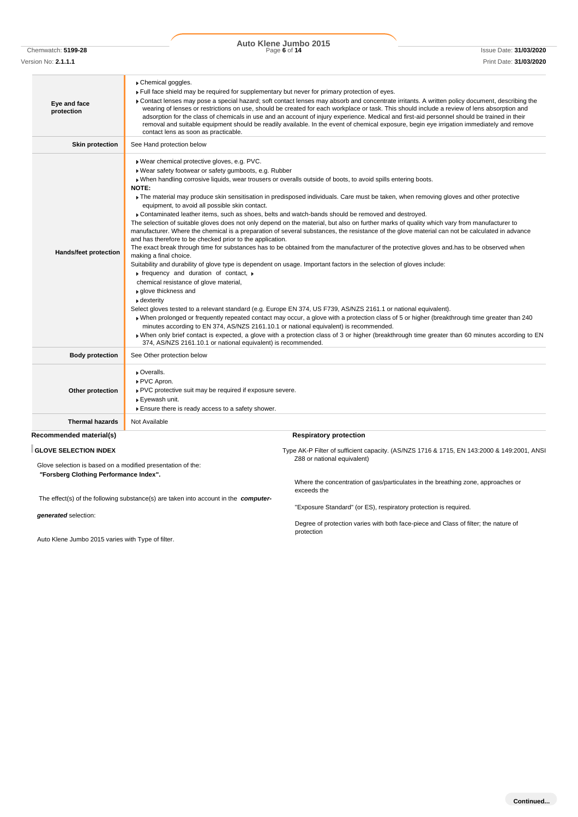Chemwatch: **5199-28** Page **6** of **14** Issue Date: **31/03/2020 Auto Klene Jumbo 2015**

| Eye and face<br>protection | Chemical goggles.<br>Full face shield may be required for supplementary but never for primary protection of eyes.<br>Contact lenses may pose a special hazard; soft contact lenses may absorb and concentrate irritants. A written policy document, describing the<br>wearing of lenses or restrictions on use, should be created for each workplace or task. This should include a review of lens absorption and<br>adsorption for the class of chemicals in use and an account of injury experience. Medical and first-aid personnel should be trained in their<br>removal and suitable equipment should be readily available. In the event of chemical exposure, begin eye irrigation immediately and remove<br>contact lens as soon as practicable.                                                                                                                                                                                                                                                                                                                                                                                                                                                                                                                                                                                                                                                                                                                                                                                                                                                                                                                                                                                                                                                                                                                                                                                       |
|----------------------------|-----------------------------------------------------------------------------------------------------------------------------------------------------------------------------------------------------------------------------------------------------------------------------------------------------------------------------------------------------------------------------------------------------------------------------------------------------------------------------------------------------------------------------------------------------------------------------------------------------------------------------------------------------------------------------------------------------------------------------------------------------------------------------------------------------------------------------------------------------------------------------------------------------------------------------------------------------------------------------------------------------------------------------------------------------------------------------------------------------------------------------------------------------------------------------------------------------------------------------------------------------------------------------------------------------------------------------------------------------------------------------------------------------------------------------------------------------------------------------------------------------------------------------------------------------------------------------------------------------------------------------------------------------------------------------------------------------------------------------------------------------------------------------------------------------------------------------------------------------------------------------------------------------------------------------------------------|
| <b>Skin protection</b>     | See Hand protection below                                                                                                                                                                                                                                                                                                                                                                                                                                                                                                                                                                                                                                                                                                                                                                                                                                                                                                                                                                                                                                                                                                                                                                                                                                                                                                                                                                                                                                                                                                                                                                                                                                                                                                                                                                                                                                                                                                                     |
| Hands/feet protection      | Wear chemical protective gloves, e.g. PVC.<br>▶ Wear safety footwear or safety gumboots, e.g. Rubber<br>• When handling corrosive liquids, wear trousers or overalls outside of boots, to avoid spills entering boots.<br>NOTE:<br>The material may produce skin sensitisation in predisposed individuals. Care must be taken, when removing gloves and other protective<br>equipment, to avoid all possible skin contact.<br>▶ Contaminated leather items, such as shoes, belts and watch-bands should be removed and destroyed.<br>The selection of suitable gloves does not only depend on the material, but also on further marks of quality which vary from manufacturer to<br>manufacturer. Where the chemical is a preparation of several substances, the resistance of the glove material can not be calculated in advance<br>and has therefore to be checked prior to the application.<br>The exact break through time for substances has to be obtained from the manufacturer of the protective gloves and has to be observed when<br>making a final choice.<br>Suitability and durability of glove type is dependent on usage. Important factors in the selection of gloves include:<br>$\triangleright$ frequency and duration of contact, $\triangleright$<br>chemical resistance of glove material,<br>▶ glove thickness and<br>▶ dexterity<br>Select gloves tested to a relevant standard (e.g. Europe EN 374, US F739, AS/NZS 2161.1 or national equivalent).<br>• When prolonged or frequently repeated contact may occur, a glove with a protection class of 5 or higher (breakthrough time greater than 240)<br>minutes according to EN 374, AS/NZS 2161.10.1 or national equivalent) is recommended.<br>» When only brief contact is expected, a glove with a protection class of 3 or higher (breakthrough time greater than 60 minutes according to EN<br>374, AS/NZS 2161.10.1 or national equivalent) is recommended. |
| <b>Body protection</b>     | See Other protection below                                                                                                                                                                                                                                                                                                                                                                                                                                                                                                                                                                                                                                                                                                                                                                                                                                                                                                                                                                                                                                                                                                                                                                                                                                                                                                                                                                                                                                                                                                                                                                                                                                                                                                                                                                                                                                                                                                                    |
| Other protection           | Overalls.<br>▶ PVC Apron.<br>▶ PVC protective suit may be required if exposure severe.<br>▶ Eyewash unit.<br>Ensure there is ready access to a safety shower.                                                                                                                                                                                                                                                                                                                                                                                                                                                                                                                                                                                                                                                                                                                                                                                                                                                                                                                                                                                                                                                                                                                                                                                                                                                                                                                                                                                                                                                                                                                                                                                                                                                                                                                                                                                 |
| <b>Thermal hazards</b>     | Not Available                                                                                                                                                                                                                                                                                                                                                                                                                                                                                                                                                                                                                                                                                                                                                                                                                                                                                                                                                                                                                                                                                                                                                                                                                                                                                                                                                                                                                                                                                                                                                                                                                                                                                                                                                                                                                                                                                                                                 |
| Recommended material(s)    | <b>Respiratory protection</b>                                                                                                                                                                                                                                                                                                                                                                                                                                                                                                                                                                                                                                                                                                                                                                                                                                                                                                                                                                                                                                                                                                                                                                                                                                                                                                                                                                                                                                                                                                                                                                                                                                                                                                                                                                                                                                                                                                                 |
| OLOVE OF FOTION INDEV      | $\sim$ ALC D. Filter of sufficient expects. (A.C.A.IZC. 474C. 8, 474F. FM 449-0000, 8, 440-0004                                                                                                                                                                                                                                                                                                                                                                                                                                                                                                                                                                                                                                                                                                                                                                                                                                                                                                                                                                                                                                                                                                                                                                                                                                                                                                                                                                                                                                                                                                                                                                                                                                                                                                                                                                                                                                               |

Glove selection is based on a modified presentation of the: *"***Forsberg Clothing Performance Index".**

The effect(s) of the following substance(s) are taken into account in the *computer-*

*generated* selection:

Auto Klene Jumbo 2015 varies with Type of filter.

**GLOVE SELECTION INDEX The Superint Capacity COVER SETS COVER 1716 & 1716 & 1715, EN 143:2000 & 149:2001, ANSI** Z88 or national equivalent)

> Where the concentration of gas/particulates in the breathing zone, approaches or exceeds the

"Exposure Standard" (or ES), respiratory protection is required.

Degree of protection varies with both face-piece and Class of filter; the nature of protection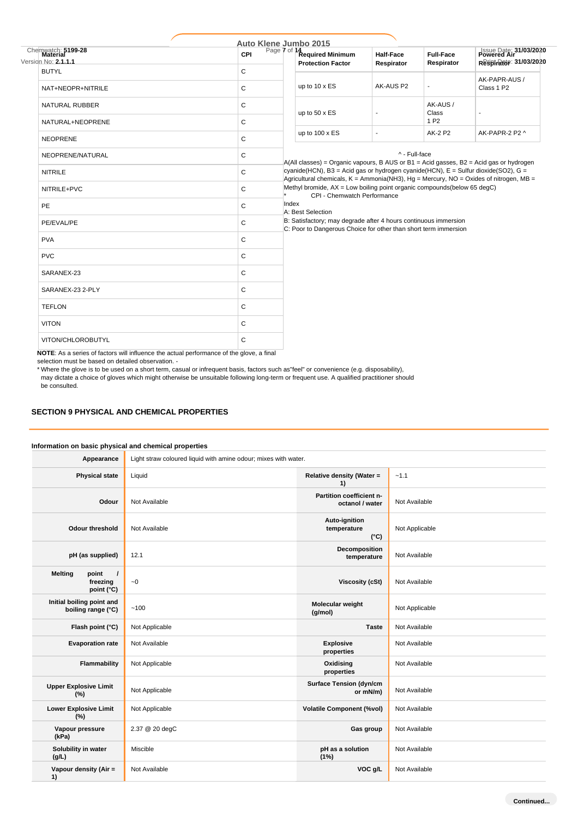| Chemwatch: 5199-28<br>Version No. 2.1.1.1 | Auto Klene Jumbo 2015<br>CPI |  | Page 7 of 14 Required Minimum<br><b>Protection Factor</b>                                                                                                                                                                                                                                                                                                                                                                                                                                                                                                                  | Half-Face<br>Respirator | <b>Full-Face</b><br>Respirator | Issue Date: 31/03/2020<br>Respirance: 31/03/2020 |  |
|-------------------------------------------|------------------------------|--|----------------------------------------------------------------------------------------------------------------------------------------------------------------------------------------------------------------------------------------------------------------------------------------------------------------------------------------------------------------------------------------------------------------------------------------------------------------------------------------------------------------------------------------------------------------------------|-------------------------|--------------------------------|--------------------------------------------------|--|
| <b>BUTYL</b>                              | C                            |  |                                                                                                                                                                                                                                                                                                                                                                                                                                                                                                                                                                            |                         |                                |                                                  |  |
| NAT+NEOPR+NITRILE                         | C                            |  | up to 10 x ES                                                                                                                                                                                                                                                                                                                                                                                                                                                                                                                                                              | AK-AUS P2               | $\overline{\phantom{a}}$       | AK-PAPR-AUS /<br>Class 1 P2                      |  |
| NATURAL RUBBER                            | C                            |  | up to 50 x ES                                                                                                                                                                                                                                                                                                                                                                                                                                                                                                                                                              |                         | AK-AUS/<br>Class               |                                                  |  |
| NATURAL+NEOPRENE                          | C                            |  | up to 100 x ES                                                                                                                                                                                                                                                                                                                                                                                                                                                                                                                                                             |                         | 1 P <sub>2</sub>               |                                                  |  |
| <b>NEOPRENE</b>                           | C                            |  |                                                                                                                                                                                                                                                                                                                                                                                                                                                                                                                                                                            | ٠                       | AK-2 P2                        | AK-PAPR-2 P2 ^                                   |  |
| NEOPRENE/NATURAL                          | $\mathsf C$                  |  | ^ - Full-face<br>$A(AII$ classes) = Organic vapours, B AUS or B1 = Acid gasses, B2 = Acid gas or hydrogen<br>cyanide(HCN), B3 = Acid gas or hydrogen cyanide(HCN), $E =$ Sulfur dioxide(SO2), G =<br>Agricultural chemicals, $K =$ Ammonia(NH3), Hg = Mercury, NO = Oxides of nitrogen, MB =<br>Methyl bromide, AX = Low boiling point organic compounds(below 65 degC)<br>CPI - Chemwatch Performance<br>Index<br>A: Best Selection<br>B: Satisfactory; may degrade after 4 hours continuous immersion<br>C: Poor to Dangerous Choice for other than short term immersion |                         |                                |                                                  |  |
| <b>NITRILE</b>                            | C                            |  |                                                                                                                                                                                                                                                                                                                                                                                                                                                                                                                                                                            |                         |                                |                                                  |  |
| NITRILE+PVC                               | C                            |  |                                                                                                                                                                                                                                                                                                                                                                                                                                                                                                                                                                            |                         |                                |                                                  |  |
| PE                                        | C                            |  |                                                                                                                                                                                                                                                                                                                                                                                                                                                                                                                                                                            |                         |                                |                                                  |  |
| PE/EVAL/PE                                | C                            |  |                                                                                                                                                                                                                                                                                                                                                                                                                                                                                                                                                                            |                         |                                |                                                  |  |
| <b>PVA</b>                                | C                            |  |                                                                                                                                                                                                                                                                                                                                                                                                                                                                                                                                                                            |                         |                                |                                                  |  |
| <b>PVC</b>                                | C                            |  |                                                                                                                                                                                                                                                                                                                                                                                                                                                                                                                                                                            |                         |                                |                                                  |  |
| SARANEX-23                                | C                            |  |                                                                                                                                                                                                                                                                                                                                                                                                                                                                                                                                                                            |                         |                                |                                                  |  |
| SARANEX-23 2-PLY                          | C                            |  |                                                                                                                                                                                                                                                                                                                                                                                                                                                                                                                                                                            |                         |                                |                                                  |  |
| <b>TEFLON</b>                             | C                            |  |                                                                                                                                                                                                                                                                                                                                                                                                                                                                                                                                                                            |                         |                                |                                                  |  |
| <b>VITON</b>                              | C                            |  |                                                                                                                                                                                                                                                                                                                                                                                                                                                                                                                                                                            |                         |                                |                                                  |  |
| VITON/CHLOROBUTYL                         | $\mathsf{C}$                 |  |                                                                                                                                                                                                                                                                                                                                                                                                                                                                                                                                                                            |                         |                                |                                                  |  |

**NOTE**: As a series of factors will influence the actual performance of the glove, a final

selection must be based on detailed observation. -

\* Where the glove is to be used on a short term, casual or infrequent basis, factors such as"feel" or convenience (e.g. disposability),

may dictate a choice of gloves which might otherwise be unsuitable following long-term or frequent use. A qualified practitioner should be consulted.

## **SECTION 9 PHYSICAL AND CHEMICAL PROPERTIES**

#### **Information on basic physical and chemical properties**

| Appearance                                                    | Light straw coloured liquid with amine odour; mixes with water. |                                               |                |
|---------------------------------------------------------------|-----------------------------------------------------------------|-----------------------------------------------|----------------|
| <b>Physical state</b>                                         | Liquid                                                          | Relative density (Water =<br>1)               | $-1.1$         |
| Odour                                                         | Not Available                                                   | Partition coefficient n-<br>octanol / water   | Not Available  |
| <b>Odour threshold</b>                                        | Not Available                                                   | Auto-ignition<br>temperature<br>$(^{\circ}C)$ | Not Applicable |
| pH (as supplied)                                              | 12.1                                                            | Decomposition<br>temperature                  | Not Available  |
| <b>Melting</b><br>point<br>$\prime$<br>freezing<br>point (°C) | ~1                                                              | <b>Viscosity (cSt)</b>                        | Not Available  |
| Initial boiling point and<br>boiling range (°C)               | ~100                                                            | Molecular weight<br>(g/mol)                   | Not Applicable |
| Flash point (°C)                                              | Not Applicable                                                  | <b>Taste</b>                                  | Not Available  |
| <b>Evaporation rate</b>                                       | Not Available                                                   | <b>Explosive</b><br>properties                | Not Available  |
| Flammability                                                  | Not Applicable                                                  | Oxidising<br>properties                       | Not Available  |
| <b>Upper Explosive Limit</b><br>(%)                           | Not Applicable                                                  | <b>Surface Tension (dyn/cm</b><br>or mN/m)    | Not Available  |
| <b>Lower Explosive Limit</b><br>(%)                           | Not Applicable                                                  | <b>Volatile Component (%vol)</b>              | Not Available  |
| Vapour pressure<br>(kPa)                                      | 2.37 @ 20 degC                                                  | Gas group                                     | Not Available  |
| Solubility in water<br>(g/L)                                  | Miscible                                                        | pH as a solution<br>(1%)                      | Not Available  |
| Vapour density (Air =<br>1)                                   | Not Available                                                   | VOC g/L                                       | Not Available  |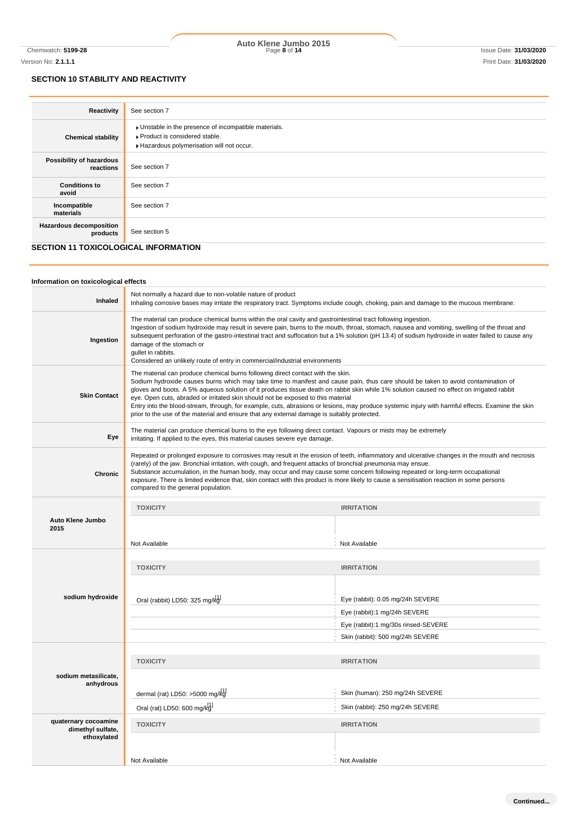## **SECTION 10 STABILITY AND REACTIVITY**

| Reactivity                                 | See section 7                                                                                                                    |  |  |
|--------------------------------------------|----------------------------------------------------------------------------------------------------------------------------------|--|--|
| <b>Chemical stability</b>                  | Unstable in the presence of incompatible materials.<br>Product is considered stable.<br>Hazardous polymerisation will not occur. |  |  |
| Possibility of hazardous<br>reactions      | See section 7                                                                                                                    |  |  |
| <b>Conditions to</b><br>avoid              | See section 7                                                                                                                    |  |  |
| Incompatible<br>materials                  | See section 7                                                                                                                    |  |  |
| <b>Hazardous decomposition</b><br>products | See section 5                                                                                                                    |  |  |
|                                            | <b>SECTION 11 TOXICOLOGICAL INFORMATION</b>                                                                                      |  |  |

#### **Information on toxicological effects Inhaled** Not normally a hazard due to non-volatile nature of product Inhaling corrosive bases may irritate the respiratory tract. Symptoms include cough, choking, pain and damage to the mucous membrane. **Ingestion** The material can produce chemical burns within the oral cavity and gastrointestinal tract following ingestion. Ingestion of sodium hydroxide may result in severe pain, burns to the mouth, throat, stomach, nausea and vomiting, swelling of the throat and subsequent perforation of the gastro-intestinal tract and suffocation but a 1% solution (pH 13.4) of sodium hydroxide in water failed to cause any damage of the stomach or gullet in rabbits. Considered an unlikely route of entry in commercial/industrial environments **Skin Contact** The material can produce chemical burns following direct contact with the skin. Sodium hydroxide causes burns which may take time to manifest and cause pain, thus care should be taken to avoid contamination of gloves and boots. A 5% aqueous solution of it produces tissue death on rabbit skin while 1% solution caused no effect on irrigated rabbit eye. Open cuts, abraded or irritated skin should not be exposed to this material Entry into the blood-stream, through, for example, cuts, abrasions or lesions, may produce systemic injury with harmful effects. Examine the skin prior to the use of the material and ensure that any external damage is suitably protected. **Eye** The material can produce chemical burns to the eye following direct contact. Vapours or mists may be extremely irritating. If applied to the eyes, this material causes severe eye damage. **Chronic** Repeated or prolonged exposure to corrosives may result in the erosion of teeth, inflammatory and ulcerative changes in the mouth and necrosis (rarely) of the jaw. Bronchial irritation, with cough, and frequent attacks of bronchial pneumonia may ensue. Substance accumulation, in the human body, may occur and may cause some concern following repeated or long-term occupational exposure. There is limited evidence that, skin contact with this product is more likely to cause a sensitisation reaction in some persons compared to the general population. **Auto Klene Jumbo 2015 TOXICITY IRRITATION** Not Available Not Available Not Available Not Available Not Available Not Available **sodium hydroxide TOXICITY IRRITATION sodium metasilicate, anhydrous TOXICITY IRRITATION quaternary cocoamine dimethyl sulfate, ethoxylated TOXICITY IRRITATION** Not Available Not Available Oral (rabbit) LD50: 325 mg/k<sup>[1]</sup> eye (rabbit): 0.05 mg/24h SEVERE Eye (rabbit):1 mg/24h SEVERE Eye (rabbit):1 mg/30s rinsed-SEVERE Skin (rabbit): 500 mg/24h SEVERE dermal (rat) LD50: >5000 mg/kg<sup>1</sup> skin (human): 250 mg/24h SEVERE Oral (rat) LD50: 600 mg/ $k_d$ <sup>[1]</sup> Skin (rabbit): 250 mg/24h SEVERE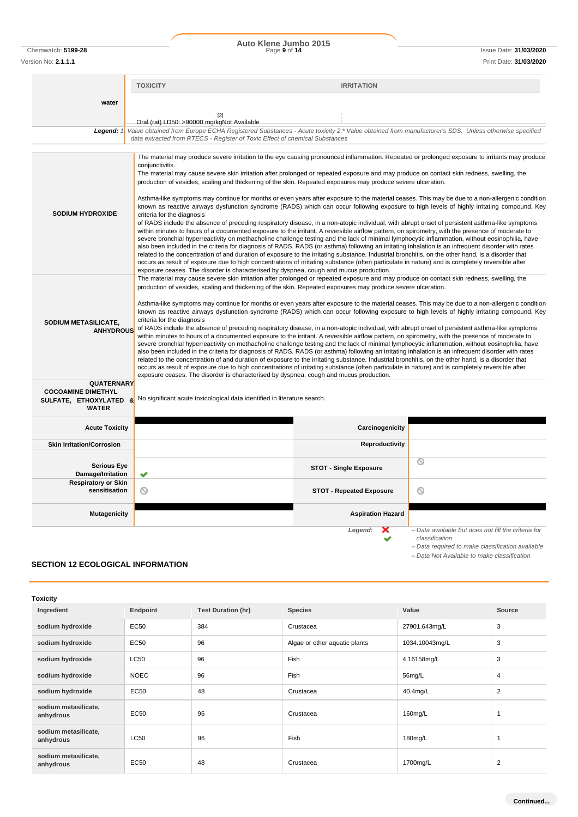Chemwatch: **5199-28** Page **9** of **14** Issue Date: **31/03/2020 Auto Klene Jumbo 2015** Version No: **2.1.1.1** Print Date: **31/03/2020**

#### **TOXICITY IRRITATION water**  $[2]$ Oral (rat) LD50: >90000 mg/kgNot Available *Legend: 1. Value obtained from Europe ECHA Registered Substances - Acute toxicity 2.\* Value obtained from manufacturer's SDS. Unless otherwise specified data extracted from RTECS - Register of Toxic Effect of chemical Substances* The material may produce severe irritation to the eye causing pronounced inflammation. Repeated or prolonged exposure to irritants may produce conjunctivitis The material may cause severe skin irritation after prolonged or repeated exposure and may produce on contact skin redness, swelling, the production of vesicles, scaling and thickening of the skin. Repeated exposures may produce severe ulceration. Asthma-like symptoms may continue for months or even years after exposure to the material ceases. This may be due to a non-allergenic condition known as reactive airways dysfunction syndrome (RADS) which can occur following exposure to high levels of highly irritating compound. Key **SODIUM HYDROXIDE** criteria for the diagnosis of RADS include the absence of preceding respiratory disease, in a non-atopic individual, with abrupt onset of persistent asthma-like symptoms within minutes to hours of a documented exposure to the irritant. A reversible airflow pattern, on spirometry, with the presence of moderate to severe bronchial hyperreactivity on methacholine challenge testing and the lack of minimal lymphocytic inflammation, without eosinophilia, have also been included in the criteria for diagnosis of RADS. RADS (or asthma) following an irritating inhalation is an infrequent disorder with rates related to the concentration of and duration of exposure to the irritating substance. Industrial bronchitis, on the other hand, is a disorder that occurs as result of exposure due to high concentrations of irritating substance (often particulate in nature) and is completely reversible after exposure ceases. The disorder is characterised by dyspnea, cough and mucus production. The material may cause severe skin irritation after prolonged or repeated exposure and may produce on contact skin redness, swelling, the production of vesicles, scaling and thickening of the skin. Repeated exposures may produce severe ulceration. Asthma-like symptoms may continue for months or even years after exposure to the material ceases. This may be due to a non-allergenic condition known as reactive airways dysfunction syndrome (RADS) which can occur following exposure to high levels of highly irritating compound. Key criteria for the diagnosis **SODIUM METASILICATE,** of RADS include the absence of preceding respiratory disease, in a non-atopic individual, with abrupt onset of persistent asthma-like symptoms **ANHYDROUS** within minutes to hours of a documented exposure to the irritant. A reversible airflow pattern, on spirometry, with the presence of moderate to severe bronchial hyperreactivity on methacholine challenge testing and the lack of minimal lymphocytic inflammation, without eosinophilia, have also been included in the criteria for diagnosis of RADS. RADS (or asthma) following an irritating inhalation is an infrequent disorder with rates related to the concentration of and duration of exposure to the irritating substance. Industrial bronchitis, on the other hand, is a disorder that occurs as result of exposure due to high concentrations of irritating substance (often particulate in nature) and is completely reversible after exposure ceases. The disorder is characterised by dyspnea, cough and mucus production. **QUATERNARY COCOAMINE DIMETHYL** No significant acute toxicological data identified in literature search. **SULFATE, ETHOXYLATED & WATER Acute Toxicity Carcinogenicity Carcinogenicity Skin Irritation/Corrosion Reproductivity**  $\overline{\circ}$ **Serious Eye STOT - Single Exposure Damage/Irritation Respiratory or Skin STOT - Repeated Exposure**  $\circ$ **Mutagenicity Aspiration Hazard** *Legend: – Data available but does not fill the criteria for classification – Data required to make classification available – Data Not Available to make classification*

## **SECTION 12 ECOLOGICAL INFORMATION**

| <b>Toxicity</b>                   |             |                           |                               |                |                |
|-----------------------------------|-------------|---------------------------|-------------------------------|----------------|----------------|
| Ingredient                        | Endpoint    | <b>Test Duration (hr)</b> | <b>Species</b>                | Value          | Source         |
| sodium hydroxide                  | EC50        | 384                       | Crustacea                     | 27901.643mg/L  | 3              |
| sodium hydroxide                  | EC50        | 96                        | Algae or other aquatic plants | 1034.10043mg/L | 3              |
| sodium hydroxide                  | <b>LC50</b> | 96                        | Fish                          | 4.16158mg/L    | 3              |
| sodium hydroxide                  | <b>NOEC</b> | 96                        | Fish                          | 56mg/L         | $\overline{4}$ |
| sodium hydroxide                  | EC50        | 48                        | Crustacea                     | 40.4mg/L       | $\overline{2}$ |
| sodium metasilicate,<br>anhydrous | <b>EC50</b> | 96                        | Crustacea                     | 160mg/L        |                |
| sodium metasilicate,<br>anhydrous | <b>LC50</b> | 96                        | Fish                          | 180mg/L        |                |
| sodium metasilicate,<br>anhydrous | <b>EC50</b> | 48                        | Crustacea                     | 1700mg/L       | $\overline{2}$ |

**Continued...**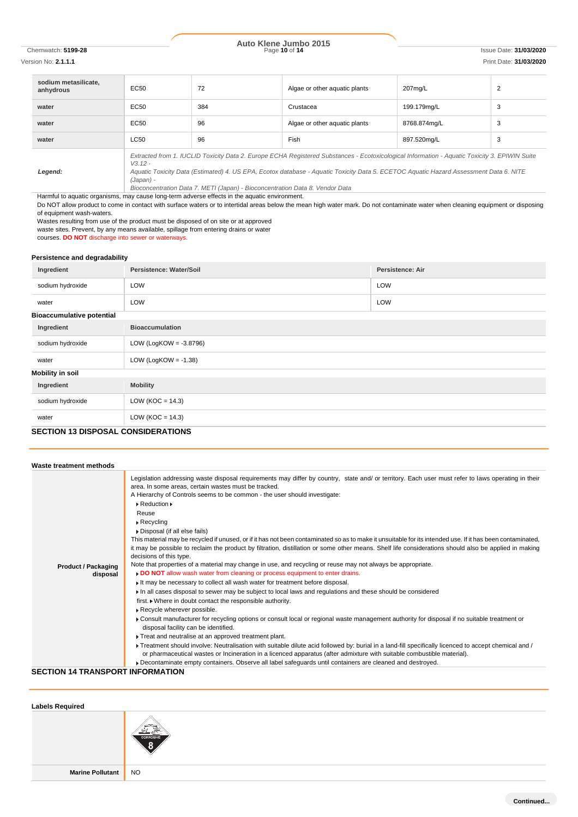# Chemwatch: **5199-28** Page **10** of **14** Issue Date: **31/03/2020 Auto Klene Jumbo 2015**

Version No: **2.1.1.1** Print Date: **31/03/2020**

| sodium metasilicate.<br>anhydrous | <b>EC50</b>                                                                                                                                                                                                                                                                                                      | 72  | Algae or other aquatic plants | 207mg/L      | $\overline{2}$ |
|-----------------------------------|------------------------------------------------------------------------------------------------------------------------------------------------------------------------------------------------------------------------------------------------------------------------------------------------------------------|-----|-------------------------------|--------------|----------------|
| water                             | <b>EC50</b>                                                                                                                                                                                                                                                                                                      | 384 | Crustacea                     | 199.179mg/L  | 3              |
| water                             | <b>EC50</b>                                                                                                                                                                                                                                                                                                      | 96  | Algae or other aquatic plants | 8768.874mg/L | 3              |
| water                             | LC50                                                                                                                                                                                                                                                                                                             | 96  | Fish                          | 897.520mg/L  | 3              |
| Legend:                           | Extracted from 1. IUCLID Toxicity Data 2. Europe ECHA Registered Substances - Ecotoxicological Information - Aquatic Toxicity 3. EPIWIN Suite<br>$V3.12 -$<br>Aquatic Toxicity Data (Estimated) 4. US EPA, Ecotox database - Aquatic Toxicity Data 5. ECETOC Aquatic Hazard Assessment Data 6. NITE<br>(Japan) - |     |                               |              |                |

*Bioconcentration Data 7. METI (Japan) - Bioconcentration Data 8. Vendor Data*

Harmful to aquatic organisms, may cause long-term adverse effects in the aquatic environment.

Do NOT allow product to come in contact with surface waters or to intertidal areas below the mean high water mark. Do not contaminate water when cleaning equipment or disposing of equipment wash-waters.

Wastes resulting from use of the product must be disposed of on site or at approved

waste sites. Prevent, by any means available, spillage from entering drains or water

courses. **DO NOT** discharge into sewer or waterways.

#### **Persistence and degradability**

| Ingredient                                | Persistence: Water/Soil   | <b>Persistence: Air</b> |  |
|-------------------------------------------|---------------------------|-------------------------|--|
| sodium hydroxide                          | LOW                       | LOW                     |  |
| water                                     | LOW                       | LOW                     |  |
| <b>Bioaccumulative potential</b>          |                           |                         |  |
| Ingredient                                | <b>Bioaccumulation</b>    |                         |  |
| sodium hydroxide                          | LOW (LogKOW = $-3.8796$ ) |                         |  |
| water                                     | LOW (LogKOW = $-1.38$ )   |                         |  |
| <b>Mobility in soil</b>                   |                           |                         |  |
| Ingredient                                | <b>Mobility</b>           |                         |  |
| sodium hydroxide                          | LOW ( $KOC = 14.3$ )      |                         |  |
| water                                     | LOW ( $KOC = 14.3$ )      |                         |  |
| <b>SECTION 13 DISPOSAL CONSIDERATIONS</b> |                           |                         |  |

#### **Waste treatment methods Product / Packaging disposal** Legislation addressing waste disposal requirements may differ by country, state and/ or territory. Each user must refer to laws operating in their area. In some areas, certain wastes must be tracked. A Hierarchy of Controls seems to be common - the user should investigate: Reduction Reuse Recycling Disposal (if all else fails) This material may be recycled if unused, or if it has not been contaminated so as to make it unsuitable for its intended use. If it has been contaminated, it may be possible to reclaim the product by filtration, distillation or some other means. Shelf life considerations should also be applied in making decisions of this type. Note that properties of a material may change in use, and recycling or reuse may not always be appropriate. **DO NOT** allow wash water from cleaning or process equipment to enter drains. It may be necessary to collect all wash water for treatment before disposal. In all cases disposal to sewer may be subject to local laws and regulations and these should be considered first. Where in doubt contact the responsible authority. Recycle wherever possible. Consult manufacturer for recycling options or consult local or regional waste management authority for disposal if no suitable treatment or disposal facility can be identified.  $\blacktriangleright$  Treat and neutralise at an approved treatment plant. ▶ Treatment should involve: Neutralisation with suitable dilute acid followed by: burial in a land-fill specifically licenced to accept chemical and / or pharmaceutical wastes or Incineration in a licenced apparatus (after admixture with suitable combustible material). Decontaminate empty containers. Observe all label safeguards until containers are cleaned and destroyed. **SECTION 14 TRANSPORT INFORMATION**

# **Labels Required Marine Pollutant** NO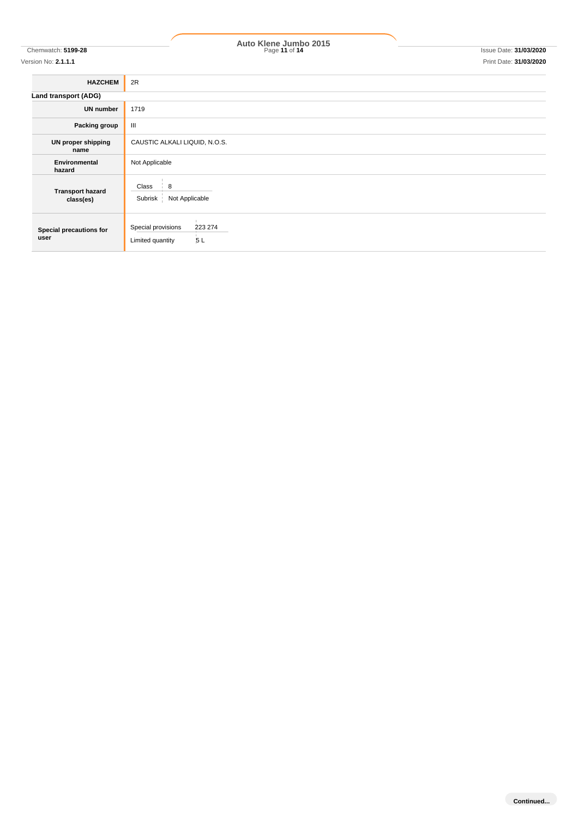# Chemwatch: **5199-28** Page **11** of **14** Issue Date: **31/03/2020 Auto Klene Jumbo 2015**

Version No: **2.1.1.1** Print Date: **31/03/2020**

| <b>HAZCHEM</b>                       | 2R                                                      |  |  |
|--------------------------------------|---------------------------------------------------------|--|--|
| Land transport (ADG)                 |                                                         |  |  |
| <b>UN number</b>                     | 1719                                                    |  |  |
| Packing group                        | $\mathbf{III}$                                          |  |  |
| UN proper shipping<br>name           | CAUSTIC ALKALI LIQUID, N.O.S.                           |  |  |
| Environmental<br>hazard              | Not Applicable                                          |  |  |
| <b>Transport hazard</b><br>class(es) | 8<br>Class<br>Subrisk  <br>Not Applicable               |  |  |
| Special precautions for<br>user      | Special provisions<br>223 274<br>5L<br>Limited quantity |  |  |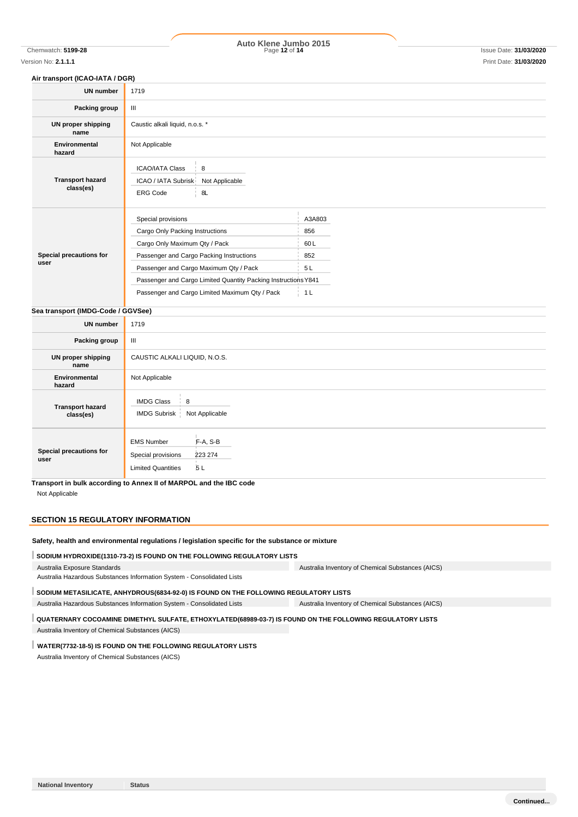# Chemwatch: **5199-28** Page **12** of **14** Issue Date: **31/03/2020 Auto Klene Jumbo 2015**

#### **Air transport (ICAO-IATA / DGR)**

| <b>UN number</b>                     | 1719                                                                                                                                                                                                                                                                                             |                                                     |  |
|--------------------------------------|--------------------------------------------------------------------------------------------------------------------------------------------------------------------------------------------------------------------------------------------------------------------------------------------------|-----------------------------------------------------|--|
| Packing group                        | Ш                                                                                                                                                                                                                                                                                                |                                                     |  |
| <b>UN proper shipping</b><br>name    | Caustic alkali liquid, n.o.s. *                                                                                                                                                                                                                                                                  |                                                     |  |
| <b>Environmental</b><br>hazard       | Not Applicable                                                                                                                                                                                                                                                                                   |                                                     |  |
| <b>Transport hazard</b><br>class(es) | <b>ICAO/IATA Class</b><br>8<br>ICAO / IATA Subrisk<br>Not Applicable<br><b>ERG Code</b><br>8L                                                                                                                                                                                                    |                                                     |  |
| Special precautions for<br>user      | Special provisions<br>Cargo Only Packing Instructions<br>Cargo Only Maximum Qty / Pack<br>Passenger and Cargo Packing Instructions<br>Passenger and Cargo Maximum Qty / Pack<br>Passenger and Cargo Limited Quantity Packing Instructions Y841<br>Passenger and Cargo Limited Maximum Qty / Pack | A3A803<br>856<br>60L<br>852<br>5L<br>1 <sub>L</sub> |  |
| Sea transport (IMDG-Code / GGVSee)   |                                                                                                                                                                                                                                                                                                  |                                                     |  |
| <b>UN number</b>                     | 1719                                                                                                                                                                                                                                                                                             |                                                     |  |
| Packing group                        | Ш                                                                                                                                                                                                                                                                                                |                                                     |  |
| UN proper shipping<br>name           | CAUSTIC ALKALI LIQUID, N.O.S.                                                                                                                                                                                                                                                                    |                                                     |  |
| Environmental<br>hazard              | Not Applicable                                                                                                                                                                                                                                                                                   |                                                     |  |
| <b>Transport hazard</b><br>class(es) | <b>IMDG Class</b><br>8<br><b>IMDG Subrisk</b><br>Not Applicable                                                                                                                                                                                                                                  |                                                     |  |
| Special precautions for<br>user      | F-A, S-B<br><b>EMS Number</b><br>223 274<br>Special provisions<br>5L<br><b>Limited Quantities</b>                                                                                                                                                                                                |                                                     |  |

**Transport in bulk according to Annex II of MARPOL and the IBC code**

Not Applicable

#### **SECTION 15 REGULATORY INFORMATION**

#### **Safety, health and environmental regulations / legislation specific for the substance or mixture**

**SODIUM HYDROXIDE(1310-73-2) IS FOUND ON THE FOLLOWING REGULATORY LISTS**

Australia Exposure Standards Australia Hazardous Substances Information System - Consolidated Lists Australia Inventory of Chemical Substances (AICS)

## SODIUM METASILICATE, ANHYDROUS(6834-92-0) IS FOUND ON THE FOLLOWING REGULATORY LISTS

Australia Hazardous Substances Information System - Consolidated Lists Australia Inventory of Chemical Substances (AICS)

#### **QUATERNARY COCOAMINE DIMETHYL SULFATE, ETHOXYLATED(68989-03-7) IS FOUND ON THE FOLLOWING REGULATORY LISTS**

Australia Inventory of Chemical Substances (AICS)

#### **WATER(7732-18-5) IS FOUND ON THE FOLLOWING REGULATORY LISTS**

Australia Inventory of Chemical Substances (AICS)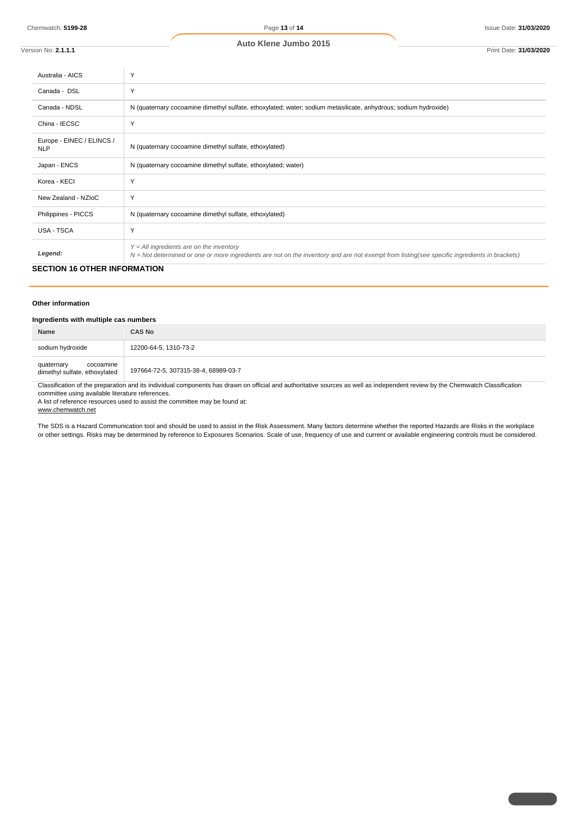| Version No: 2.1.1.1                     | Print Date: 31/03/2020                                                                                                                                                                       |
|-----------------------------------------|----------------------------------------------------------------------------------------------------------------------------------------------------------------------------------------------|
| Australia - AICS                        | Y                                                                                                                                                                                            |
| Canada - DSL                            | Y                                                                                                                                                                                            |
| Canada - NDSL                           | N (quaternary cocoamine dimethyl sulfate, ethoxylated; water; sodium metasilicate, anhydrous; sodium hydroxide)                                                                              |
| China - IECSC                           | Y                                                                                                                                                                                            |
| Europe - EINEC / ELINCS /<br><b>NLP</b> | N (quaternary cocoamine dimethyl sulfate, ethoxylated)                                                                                                                                       |
| Japan - ENCS                            | N (quaternary cocoamine dimethyl sulfate, ethoxylated; water)                                                                                                                                |
| Korea - KECI                            | Y                                                                                                                                                                                            |
| New Zealand - NZIoC                     | Y                                                                                                                                                                                            |
| Philippines - PICCS                     | N (quaternary cocoamine dimethyl sulfate, ethoxylated)                                                                                                                                       |
| USA - TSCA                              | Υ                                                                                                                                                                                            |
| Legend:                                 | $Y = All$ ingredients are on the inventory<br>$N = Not$ determined or one or more ingredients are not on the inventory and are not exempt from listing(see specific ingredients in brackets) |

#### **SECTION 16 OTHER INFORMATION**

#### **Other information**

#### **Ingredients with multiple cas numbers**

| Name                                                     | <b>CAS No</b>                        |
|----------------------------------------------------------|--------------------------------------|
| sodium hydroxide                                         | 12200-64-5, 1310-73-2                |
| cocoamine<br>quaternary<br>dimethyl sulfate, ethoxylated | 197664-72-5, 307315-38-4, 68989-03-7 |

Classification of the preparation and its individual components has drawn on official and authoritative sources as well as independent review by the Chemwatch Classification committee using available literature references.

A list of reference resources used to assist the committee may be found at:

www.chemwatch.net

The SDS is a Hazard Communication tool and should be used to assist in the Risk Assessment. Many factors determine whether the reported Hazards are Risks in the workplace or other settings. Risks may be determined by reference to Exposures Scenarios. Scale of use, frequency of use and current or available engineering controls must be considered.